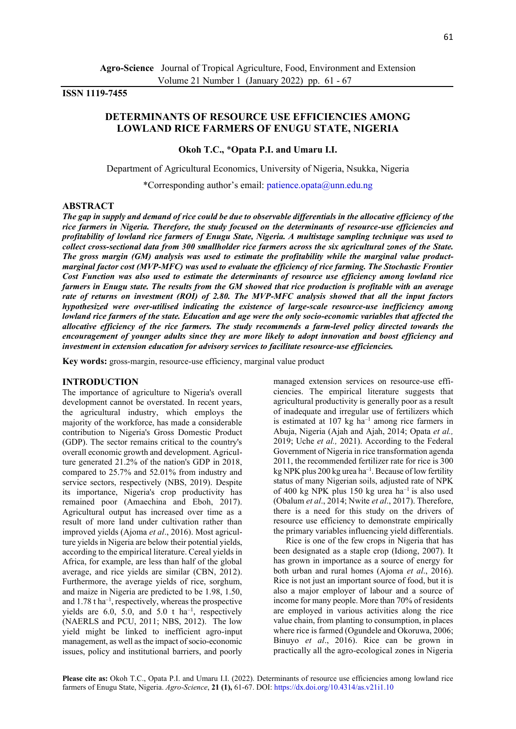# **ISSN 1119-7455**

# **DETERMINANTS OF RESOURCE USE EFFICIENCIES AMONG LOWLAND RICE FARMERS OF ENUGU STATE, NIGERIA**

# **Okoh T.C.,** \***Opata P.I. and Umaru I.I.**

Department of Agricultural Economics, University of Nigeria, Nsukka, Nigeria

\*Corresponding author's email: [patience.opata@unn.edu.ng](mailto:patience.opata@unn.edu.ng) 

# **ABSTRACT**

*The gap in supply and demand of rice could be due to observable differentials in the allocative efficiency of the rice farmers in Nigeria. Therefore, the study focused on the determinants of resource-use efficiencies and profitability of lowland rice farmers of Enugu State, Nigeria. A multistage sampling technique was used to collect cross-sectional data from 300 smallholder rice farmers across the six agricultural zones of the State. The gross margin (GM) analysis was used to estimate the profitability while the marginal value productmarginal factor cost (MVP-MFC) was used to evaluate the efficiency of rice farming. The Stochastic Frontier Cost Function was also used to estimate the determinants of resource use efficiency among lowland rice farmers in Enugu state. The results from the GM showed that rice production is profitable with an average rate of returns on investment (ROI) of 2.80. The MVP-MFC analysis showed that all the input factors hypothesized were over-utilised indicating the existence of large-scale resource-use inefficiency among lowland rice farmers of the state. Education and age were the only socio-economic variables that affected the allocative efficiency of the rice farmers. The study recommends a farm-level policy directed towards the encouragement of younger adults since they are more likely to adopt innovation and boost efficiency and investment in extension education for advisory services to facilitate resource-use efficiencies.* 

**Key words:** gross-margin, resource-use efficiency, marginal value product

## **INTRODUCTION**

The importance of agriculture to Nigeria's overall development cannot be overstated. In recent years, the agricultural industry, which employs the majority of the workforce, has made a considerable contribution to Nigeria's Gross Domestic Product (GDP). The sector remains critical to the country's overall economic growth and development. Agriculture generated 21.2% of the nation's GDP in 2018, compared to 25.7% and 52.01% from industry and service sectors, respectively (NBS, 2019). Despite its importance, Nigeria's crop productivity has remained poor (Amaechina and Eboh, 2017). Agricultural output has increased over time as a result of more land under cultivation rather than improved yields (Ajoma *et al*., 2016). Most agriculture yields in Nigeria are below their potential yields, according to the empirical literature. Cereal yields in Africa, for example, are less than half of the global average, and rice yields are similar (CBN, 2012). Furthermore, the average yields of rice, sorghum, and maize in Nigeria are predicted to be 1.98, 1.50, and 1.78 t ha–<sup>1</sup> , respectively, whereas the prospective yields are  $6.0$ ,  $5.0$ , and  $5.0$  t ha<sup>-1</sup>, respectively (NAERLS and PCU, 2011; NBS, 2012). The low yield might be linked to inefficient agro-input management, as well as the impact of socio-economic issues, policy and institutional barriers, and poorly

managed extension services on resource-use efficiencies. The empirical literature suggests that agricultural productivity is generally poor as a result of inadequate and irregular use of fertilizers which is estimated at  $107 \text{ kg}$  ha<sup>-1</sup> among rice farmers in Abuja, Nigeria (Ajah and Ajah, 2014; Opata *et al.,* 2019; Uche *et al.,* 2021). According to the Federal Government of Nigeria in rice transformation agenda 2011, the recommended fertilizer rate for rice is 300 kg NPK plus 200 kg urea ha<sup>-1</sup>. Because of low fertility status of many Nigerian soils, adjusted rate of NPK of 400 kg NPK plus 150 kg urea ha<sup>-1</sup> is also used (Obalum *et al*., 2014; Nwite *et al*., 2017). Therefore, there is a need for this study on the drivers of resource use efficiency to demonstrate empirically the primary variables influencing yield differentials.

Rice is one of the few crops in Nigeria that has been designated as a staple crop (Idiong, 2007). It has grown in importance as a source of energy for both urban and rural homes (Ajoma *et al*., 2016). Rice is not just an important source of food, but it is also a major employer of labour and a source of income for many people. More than 70% of residents are employed in various activities along the rice value chain, from planting to consumption, in places where rice is farmed (Ogundele and Okoruwa, 2006; Binuyo *et al*., 2016). Rice can be grown in practically all the agro-ecological zones in Nigeria

Please cite as: Okoh T.C., Opata P.I. and Umaru I.I. (2022). Determinants of resource use efficiencies among lowland rice farmers of Enugu State, Nigeria. *Agro-Science*, **21 (1),** 61-67. DOI: https://dx.doi.org/10.4314/as.v21i1.10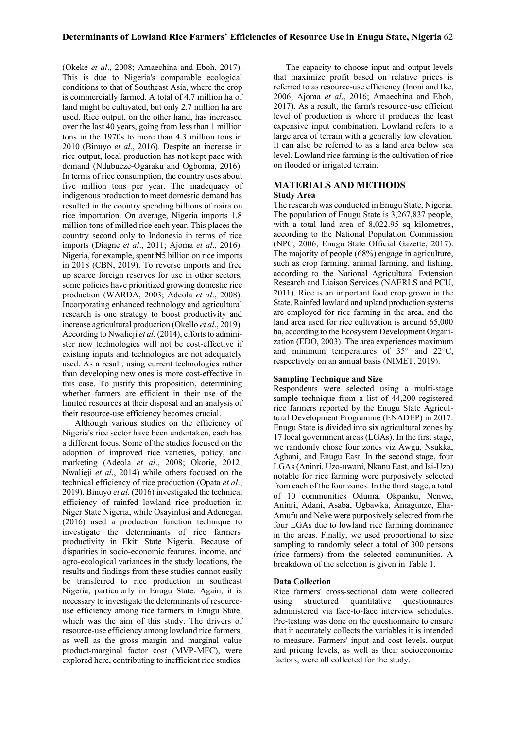(Okeke *et al*., 2008; Amaechina and Eboh, 2017). This is due to Nigeria's comparable ecological conditions to that of Southeast Asia, where the crop is commercially farmed. A total of 4.7 million ha of land might be cultivated, but only 2.7 million ha are used. Rice output, on the other hand, has increased over the last 40 years, going from less than 1 million tons in the 1970s to more than 4.3 million tons in 2010 (Binuyo *et al*., 2016). Despite an increase in rice output, local production has not kept pace with demand (Ndubueze-Ogaraku and Ogbonna, 2016). In terms of rice consumption, the country uses about five million tons per year. The inadequacy of indigenous production to meet domestic demand has resulted in the country spending billions of naira on rice importation. On average, Nigeria imports 1.8 million tons of milled rice each year. This places the country second only to Indonesia in terms of rice imports (Diagne *et al*., 2011; Ajoma *et al*., 2016). Nigeria, for example, spent N5 billion on rice imports in 2018 (CBN, 2019). To reverse imports and free up scarce foreign reserves for use in other sectors, some policies have prioritized growing domestic rice production (WARDA, 2003; Adeola *et al*., 2008). Incorporating enhanced technology and agricultural research is one strategy to boost productivity and increase agricultural production (Okello *et al*., 2019). According to Nwalieji *et al*. (2014), efforts to administer new technologies will not be cost-effective if existing inputs and technologies are not adequately used. As a result, using current technologies rather than developing new ones is more cost-effective in this case. To justify this proposition, determining whether farmers are efficient in their use of the limited resources at their disposal and an analysis of their resource-use efficiency becomes crucial.

Although various studies on the efficiency of Nigeria's rice sector have been undertaken, each has a different focus. Some of the studies focused on the adoption of improved rice varieties, policy, and marketing (Adeola *et al*., 2008; Okorie, 2012; Nwalieji *et al*., 2014) while others focused on the technical efficiency of rice production (Opata *et al*., 2019). Binuyo *et al*. (2016) investigated the technical efficiency of rainfed lowland rice production in Niger State Nigeria, while Osayinlusi and Adenegan (2016) used a production function technique to investigate the determinants of rice farmers' productivity in Ekiti State Nigeria. Because of disparities in socio-economic features, income, and agro-ecological variances in the study locations, the results and findings from these studies cannot easily be transferred to rice production in southeast Nigeria, particularly in Enugu State. Again, it is necessary to investigate the determinants of resourceuse efficiency among rice farmers in Enugu State, which was the aim of this study. The drivers of resource-use efficiency among lowland rice farmers, as well as the gross margin and marginal value product-marginal factor cost (MVP-MFC), were explored here, contributing to inefficient rice studies.

The capacity to choose input and output levels that maximize profit based on relative prices is referred to as resource-use efficiency (Inoni and Ike, 2006; Ajoma *et al*., 2016; Amaechina and Eboh, 2017). As a result, the farm's resource-use efficient level of production is where it produces the least expensive input combination. Lowland refers to a large area of terrain with a generally low elevation. It can also be referred to as a land area below sea level. Lowland rice farming is the cultivation of rice on flooded or irrigated terrain.

# **MATERIALS AND METHODS Study Area**

The research was conducted in Enugu State, Nigeria. The population of Enugu State is 3,267,837 people, with a total land area of 8,022.95 sq kilometres, according to the National Population Commission (NPC, 2006; Enugu State Official Gazette, 2017). The majority of people (68%) engage in agriculture, such as crop farming, animal farming, and fishing, according to the National Agricultural Extension Research and Liaison Services (NAERLS and PCU, 2011). Rice is an important food crop grown in the State. Rainfed lowland and upland production systems are employed for rice farming in the area, and the land area used for rice cultivation is around 65,000 ha, according to the Ecosystem Development Organization (EDO, 2003). The area experiences maximum and minimum temperatures of 35° and 22°C, respectively on an annual basis (NIMET, 2019).

## **Sampling Technique and Size**

Respondents were selected using a multi-stage sample technique from a list of 44,200 registered rice farmers reported by the Enugu State Agricultural Development Programme (ENADEP) in 2017. Enugu State is divided into six agricultural zones by 17 local government areas (LGAs). In the first stage, we randomly chose four zones viz Awgu, Nsukka, Agbani, and Enugu East. In the second stage, four LGAs (Aninri, Uzo-uwani, Nkanu East, and Isi-Uzo) notable for rice farming were purposively selected from each of the four zones. In the third stage, a total of 10 communities Oduma, Okpanku, Nenwe, Aninri, Adani, Asaba, Ugbawka, Amagunze, Eha-Amufu and Neke were purposively selected from the four LGAs due to lowland rice farming dominance in the areas. Finally, we used proportional to size sampling to randomly select a total of 300 persons (rice farmers) from the selected communities. A breakdown of the selection is given in Table 1.

## **Data Collection**

Rice farmers' cross-sectional data were collected using structured quantitative questionnaires administered via face-to-face interview schedules. Pre-testing was done on the questionnaire to ensure that it accurately collects the variables it is intended to measure. Farmers' input and cost levels, output and pricing levels, as well as their socioeconomic factors, were all collected for the study.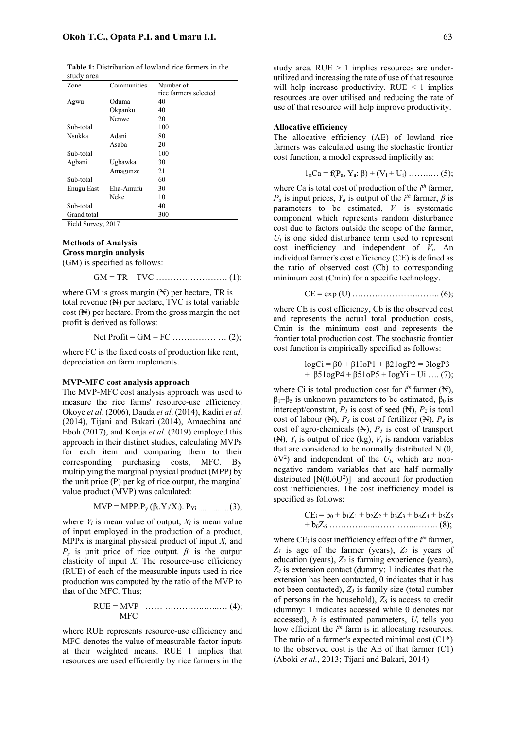**Table 1:** Distribution of lowland rice farmers in the study area

| Zone        | Communities | Number of             |
|-------------|-------------|-----------------------|
|             |             | rice farmers selected |
| Agwu        | Oduma       | 40                    |
|             | Okpanku     | 40                    |
|             | Nenwe       | 20                    |
| Sub-total   |             | 100                   |
| Nsukka      | Adani       | 80                    |
|             | Asaba       | 20                    |
| Sub-total   |             | 100                   |
| Agbani      | Ugbawka     | 30                    |
|             | Amagunze    | 21                    |
| Sub-total   |             | 60                    |
| Enugu East  | Eha-Amufu   | 30                    |
|             | Neke        | 10                    |
| Sub-total   |             | 40                    |
| Grand total |             | 300                   |

Field Survey, 2017

# **Methods of Analysis Gross margin analysis**

(GM) is specified as follows:

GM = TR – TVC ……………………. (1);

where GM is gross margin  $(\mathbb{N})$  per hectare, TR is total revenue (₦) per hectare, TVC is total variable cost (₦) per hectare. From the gross margin the net profit is derived as follows:

Net Profit =  $GM - FC$  ………………… (2);

where FC is the fixed costs of production like rent, depreciation on farm implements.

#### **MVP-MFC cost analysis approach**

The MVP-MFC cost analysis approach was used to measure the rice farms' resource-use efficiency. Okoye *et al*. (2006), Dauda *et al*. (2014), Kadiri *et al*. (2014), Tijani and Bakari (2014), Amaechina and Eboh (2017), and Konja *et al*. (2019) employed this approach in their distinct studies, calculating MVPs for each item and comparing them to their corresponding purchasing costs, MFC. By multiplying the marginal physical product (MPP) by the unit price (P) per kg of rice output, the marginal value product (MVP) was calculated:

$$
MVP = MPP.Py (\beta_i.Y_i/X_i). PYi ....... (3);
$$

where  $Y_i$  is mean value of output,  $X_i$  is mean value of input employed in the production of a product, MPPx is marginal physical product of input *X,* and  $P<sub>y</sub>$  is unit price of rice output.  $\beta<sub>i</sub>$  is the output elasticity of input  $X$ . The resource-use efficiency (RUE) of each of the measurable inputs used in rice production was computed by the ratio of the MVP to that of the MFC. Thus;

$$
RUE = \underline{MVP} \quad \dots \dots \dots \dots \dots \dots \dots \dots \dots \dots \quad (4);
$$

where RUE represents resource-use efficiency and MFC denotes the value of measurable factor inputs at their weighted means. RUE 1 implies that resources are used efficiently by rice farmers in the

study area.  $RUE > 1$  implies resources are underutilized and increasing the rate of use of that resource will help increase productivity.  $RUE < 1$  implies resources are over utilised and reducing the rate of use of that resource will help improve productivity.

#### **Allocative efficiency**

The allocative efficiency (AE) of lowland rice farmers was calculated using the stochastic frontier cost function, a model expressed implicitly as:

$$
1nCa = f(Pa, Ya: \beta) + (Vi + Ui) \dots \dots \dots \dots (5);
$$

where Ca is total cost of production of the *i th* farmer, *P<sub>a</sub>* is input prices,  $Y_a$  is output of the  $i^{th}$  farmer,  $\beta$  is parameters to be estimated,  $V_i$  is systematic component which represents random disturbance cost due to factors outside the scope of the farmer,  $U_i$  is one sided disturbance term used to represent cost inefficiency and independent of *Vi*. An individual farmer's cost efficiency (CE) is defined as the ratio of observed cost (Cb) to corresponding minimum cost (Cmin) for a specific technology.

CE = exp (U) .………………….…….. (6);

where CE is cost efficiency, Cb is the observed cost and represents the actual total production costs, Cmin is the minimum cost and represents the frontier total production cost. The stochastic frontier cost function is empirically specified as follows:

$$
logCi = \beta 0 + \beta 11oP1 + \beta 21ogP2 = 3logP3 + \beta 51ogP4 + \beta 51oP5 + logYi +Ui ... (7);
$$

where Ci is total production cost for  $i^{th}$  farmer ( $\mathbb{N}$ ),  $β<sub>1</sub>–β<sub>5</sub>$  is unknown parameters to be estimated,  $β<sub>0</sub>$  is intercept/constant,  $P<sub>l</sub>$  is cost of seed ( $\mathbb{N}$ ),  $P<sub>2</sub>$  is total cost of labour  $(\mathbb{H})$ ,  $P_3$  is cost of fertilizer  $(\mathbb{H})$ ,  $P_4$  is cost of agro-chemicals  $(\mathbb{N})$ ,  $P_5$  is cost of transport ( $\mathbb{N}$ ),  $Y_i$  is output of rice (kg),  $V_i$  is random variables that are considered to be normally distributed N (0,  $6V<sup>2</sup>$ ) and independent of the  $U<sub>i</sub>$ , which are nonnegative random variables that are half normally distributed  $[N(0,6U^2)]$  and account for production cost inefficiencies. The cost inefficiency model is specified as follows:

$$
CE_{i} = b_{0} + b_{1}Z_{1} + b_{2}Z_{2} + b_{3}Z_{3} + b_{4}Z_{4} + b_{5}Z_{5}
$$
  
+  $b_{6}Z_{6}$ .................(8);

where  $CE_i$  is cost inefficiency effect of the  $i<sup>th</sup>$  farmer, *Z1* is age of the farmer (years), *Z2* is years of education (years), *Z<sup>3</sup>* is farming experience (years), *Z<sup>4</sup>* is extension contact (dummy; 1 indicates that the extension has been contacted, 0 indicates that it has not been contacted),  $Z_5$  is family size (total number of persons in the household),  $Z_6$  is access to credit (dummy: 1 indicates accessed while 0 denotes not accessed),  $b$  is estimated parameters,  $U_i$  tells you how efficient the *i*<sup>th</sup> farm is in allocating resources. The ratio of a farmer's expected minimal cost  $(C1^*)$ to the observed cost is the AE of that farmer (C1) (Aboki *et al.*, 2013; Tijani and Bakari, 2014).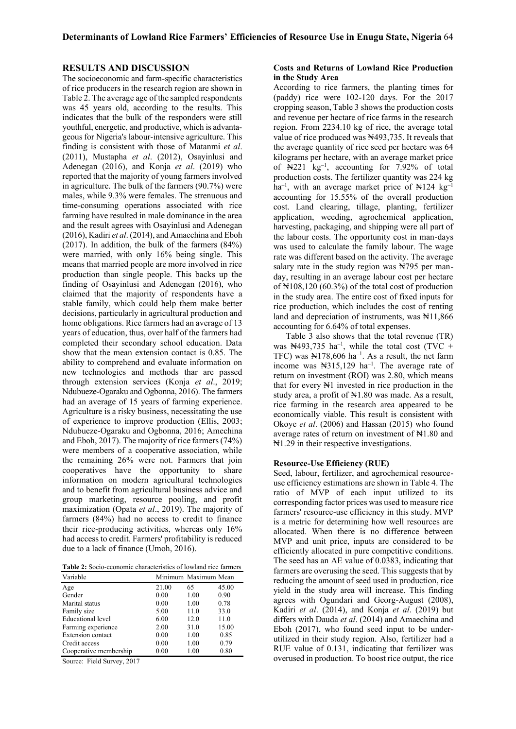### **RESULTS AND DISCUSSION**

The socioeconomic and farm-specific characteristics of rice producers in the research region are shown in Table 2. The average age of the sampled respondents was 45 years old, according to the results. This indicates that the bulk of the responders were still youthful, energetic, and productive, which is advantageous for Nigeria's labour-intensive agriculture. This finding is consistent with those of Matanmi *et al*. (2011), Mustapha *et al*. (2012), Osayinlusi and Adenegan (2016), and Konja *et al*. (2019) who reported that the majority of young farmers involved in agriculture. The bulk of the farmers (90.7%) were males, while 9.3% were females. The strenuous and time-consuming operations associated with rice farming have resulted in male dominance in the area and the result agrees with Osayinlusi and Adenegan (2016), Kadiri *et al*. (2014), and Amaechina and Eboh (2017). In addition, the bulk of the farmers (84%) were married, with only 16% being single. This means that married people are more involved in rice production than single people. This backs up the finding of Osayinlusi and Adenegan (2016), who claimed that the majority of respondents have a stable family, which could help them make better decisions, particularly in agricultural production and home obligations. Rice farmers had an average of 13 years of education, thus, over half of the farmers had completed their secondary school education. Data show that the mean extension contact is 0.85. The ability to comprehend and evaluate information on new technologies and methods thar are passed through extension services (Konja *et al*., 2019; Ndubueze-Ogaraku and Ogbonna, 2016). The farmers had an average of 15 years of farming experience. Agriculture is a risky business, necessitating the use of experience to improve production (Ellis, 2003; Ndubueze-Ogaraku and Ogbonna, 2016; Amechina and Eboh, 2017). The majority of rice farmers (74%) were members of a cooperative association, while the remaining 26% were not. Farmers that join cooperatives have the opportunity to share information on modern agricultural technologies and to benefit from agricultural business advice and group marketing, resource pooling, and profit maximization (Opata *et al*., 2019). The majority of farmers (84%) had no access to credit to finance their rice-producing activities, whereas only 16% had access to credit. Farmers' profitability is reduced due to a lack of finance (Umoh, 2016).

**Table 2:** Socio-economic characteristics of lowland rice farmers

| Variable                 | Minimum Maximum Mean |      |       |  |
|--------------------------|----------------------|------|-------|--|
| Age                      | 21.00                | 65   | 45.00 |  |
| Gender                   | 0.00                 | 1.00 | 0.90  |  |
| Marital status           | 0.00                 | 1.00 | 0.78  |  |
| Family size              | 5.00                 | 11.0 | 33.0  |  |
| Educational level        | 6.00                 | 12.0 | 11.0  |  |
| Farming experience       | 2.00                 | 31.0 | 15.00 |  |
| <b>Extension</b> contact | 0.00                 | 1.00 | 0.85  |  |
| Credit access            | 0.00                 | 1.00 | 0.79  |  |
| Cooperative membership   | 0.00                 | 1.00 | 0.80  |  |

Source: Field Survey, 2017

# **Costs and Returns of Lowland Rice Production in the Study Area**

According to rice farmers, the planting times for (paddy) rice were 102-120 days. For the 2017 cropping season, Table 3 shows the production costs and revenue per hectare of rice farms in the research region. From 2234.10 kg of rice, the average total value of rice produced was N493,735. It reveals that the average quantity of rice seed per hectare was 64 kilograms per hectare, with an average market price of  $\mathbb{N}221$  kg<sup>-1</sup>, accounting for 7.92% of total production costs. The fertilizer quantity was 224 kg ha<sup>-1</sup>, with an average market price of  $\mathbb{N}124 \text{ kg}^{-1}$ accounting for 15.55% of the overall production cost. Land clearing, tillage, planting, fertilizer application, weeding, agrochemical application, harvesting, packaging, and shipping were all part of the labour costs. The opportunity cost in man-days was used to calculate the family labour. The wage rate was different based on the activity. The average salary rate in the study region was  $\frac{14795}{120}$  per manday, resulting in an average labour cost per hectare of  $\mathbb{N}108,120$  (60.3%) of the total cost of production in the study area. The entire cost of fixed inputs for rice production, which includes the cost of renting land and depreciation of instruments, was  $\frac{11,866}{2}$ accounting for 6.64% of total expenses.

Table 3 also shows that the total revenue (TR) was  $\mathbb{N}493,735$  ha<sup>-1</sup>, while the total cost (TVC + TFC) was  $\mathbb{N}178,606$  ha<sup>-1</sup>. As a result, the net farm income was ₦315,129 ha–<sup>1</sup> . The average rate of return on investment (ROI) was 2.80, which means that for every  $\mathbb{N}1$  invested in rice production in the study area, a profit of  $\mathbb{N}1.80$  was made. As a result, rice farming in the research area appeared to be economically viable. This result is consistent with Okoye *et al*. (2006) and Hassan (2015) who found average rates of return on investment of  $\mathbb{N}1.80$  and ₦1.29 in their respective investigations.

#### **Resource-Use Efficiency (RUE)**

Seed, labour, fertilizer, and agrochemical resourceuse efficiency estimations are shown in Table 4. The ratio of MVP of each input utilized to its corresponding factor prices was used to measure rice farmers' resource-use efficiency in this study. MVP is a metric for determining how well resources are allocated. When there is no difference between MVP and unit price, inputs are considered to be efficiently allocated in pure competitive conditions. The seed has an AE value of 0.0383, indicating that farmers are overusing the seed. This suggests that by reducing the amount of seed used in production, rice yield in the study area will increase. This finding agrees with Ogundari and Georg-August (2008), Kadiri *et al*. (2014), and Konja *et al*. (2019) but differs with Dauda *et al*. (2014) and Amaechina and Eboh (2017), who found seed input to be underutilized in their study region. Also, fertilizer had a RUE value of 0.131, indicating that fertilizer was overused in production. To boost rice output, the rice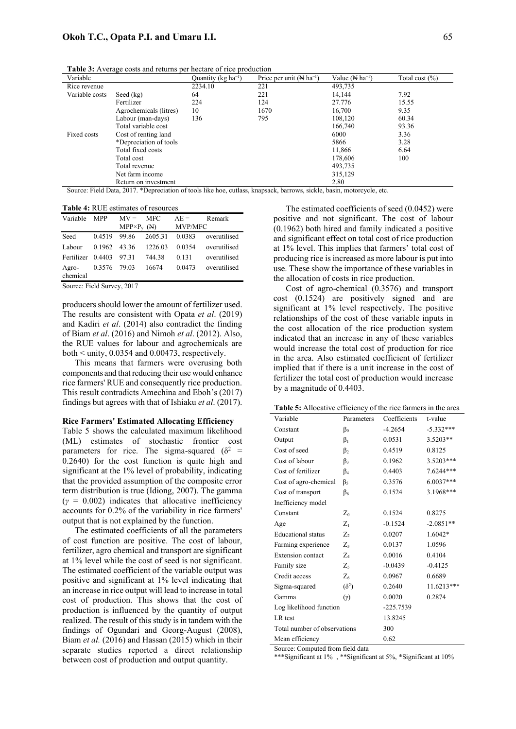| <b>Table 3:</b> Average costs and returns per hectare of rice production |  |
|--------------------------------------------------------------------------|--|
|--------------------------------------------------------------------------|--|

| Variable       |                        | Quantity ( $kg \text{ ha}^{-1}$ ) | Price per unit $(\mathbb{N}$ ha <sup>-1</sup> ) | Value ( $\mathbb{N}$ ha <sup>-1</sup> ) | Total cost $(\%)$ |
|----------------|------------------------|-----------------------------------|-------------------------------------------------|-----------------------------------------|-------------------|
| Rice revenue   |                        | 2234.10                           | 221                                             | 493.735                                 |                   |
| Variable costs | Seed (kg)              | 64                                | 221                                             | 14.144                                  | 7.92              |
|                | Fertilizer             | 224                               | 124                                             | 27.776                                  | 15.55             |
|                | Agrochemicals (litres) | 10                                | 1670                                            | 16,700                                  | 9.35              |
|                | Labour (man-days)      | 136                               | 795                                             | 108,120                                 | 60.34             |
|                | Total variable cost    |                                   |                                                 | 166,740                                 | 93.36             |
| Fixed costs    | Cost of renting land   |                                   |                                                 | 6000                                    | 3.36              |
|                | *Depreciation of tools |                                   |                                                 | 5866                                    | 3.28              |
|                | Total fixed costs      |                                   |                                                 | 11,866                                  | 6.64              |
|                | Total cost             |                                   |                                                 | 178,606                                 | 100               |
|                | Total revenue          |                                   |                                                 | 493.735                                 |                   |
|                | Net farm income        |                                   |                                                 | 315,129                                 |                   |
|                | Return on investment   |                                   |                                                 | 2.80                                    |                   |

Source: Field Data, 2017. \*Depreciation of tools like hoe, cutlass, knapsack, barrows, sickle, basin, motorcycle, etc.

**Table 4:** RUE estimates of resources

| Variable          | <b>MPP</b>   | $MV =$               | <b>MFC</b> | $AE =$         | Remark       |
|-------------------|--------------|----------------------|------------|----------------|--------------|
|                   |              | $MPP \times P_v$ (N) |            | <b>MVP/MFC</b> |              |
| Seed              | 0.4519       | 99.86                | 2605.31    | 0.0383         | overutilised |
| Labour            | 0.1962 43.36 |                      | 1226.03    | 0.0354         | overutilised |
| Fertilizer 0.4403 |              | 97.31                | 744.38     | 0.131          | overutilised |
| Agro-<br>chemical | 0.3576 79.03 |                      | 16674      | 0.0473         | overutilised |
|                   |              |                      |            |                |              |

Source: Field Survey, 2017

producers should lower the amount of fertilizer used. The results are consistent with Opata *et al*. (2019) and Kadiri *et al*. (2014) also contradict the finding of Biam *et al*. (2016) and Nimoh *et al*. (2012). Also, the RUE values for labour and agrochemicals are both < unity, 0.0354 and 0.00473, respectively.

This means that farmers were overusing both components and that reducing their use would enhance rice farmers' RUE and consequently rice production. This result contradicts Amechina and Eboh's (2017) findings but agrees with that of Ishiaku *et al*. (2017).

#### **Rice Farmers' Estimated Allocating Efficiency**

Table 5 shows the calculated maximum likelihood (ML) estimates of stochastic frontier cost parameters for rice. The sigma-squared ( $\delta^2$  = 0.2640) for the cost function is quite high and significant at the 1% level of probability, indicating that the provided assumption of the composite error term distribution is true (Idiong, 2007). The gamma  $(y = 0.002)$  indicates that allocative inefficiency accounts for 0.2% of the variability in rice farmers' output that is not explained by the function.

The estimated coefficients of all the parameters of cost function are positive. The cost of labour, fertilizer, agro chemical and transport are significant at 1% level while the cost of seed is not significant. The estimated coefficient of the variable output was positive and significant at 1% level indicating that an increase in rice output will lead to increase in total cost of production. This shows that the cost of production is influenced by the quantity of output realized. The result of this study is in tandem with the findings of Ogundari and Georg-August (2008), Biam *et al.* (2016) and Hassan (2015) which in their separate studies reported a direct relationship between cost of production and output quantity.

The estimated coefficients of seed (0.0452) were positive and not significant. The cost of labour (0.1962) both hired and family indicated a positive and significant effect on total cost of rice production at 1% level. This implies that farmers' total cost of producing rice is increased as more labour is put into use. These show the importance of these variables in the allocation of costs in rice production.

Cost of agro-chemical (0.3576) and transport cost (0.1524) are positively signed and are significant at 1% level respectively. The positive relationships of the cost of these variable inputs in the cost allocation of the rice production system indicated that an increase in any of these variables would increase the total cost of production for rice in the area. Also estimated coefficient of fertilizer implied that if there is a unit increase in the cost of fertilizer the total cost of production would increase by a magnitude of 0.4403.

| Variable                     | Parameters   | Coefficients | t-value     |
|------------------------------|--------------|--------------|-------------|
| Constant                     | $\beta_0$    | $-4.2654$    | $-5.332***$ |
| Output                       | $\beta_1$    | 0.0531       | $3.5203**$  |
| Cost of seed                 | $\beta_2$    | 0.4519       | 0.8125      |
| Cost of labour               | $\beta_3$    | 0.1962       | 3.5203***   |
| Cost of fertilizer           | $\beta_4$    | 0.4403       | 7.6244***   |
| Cost of agro-chemical        | $\beta_5$    | 0.3576       | 6.0037***   |
| Cost of transport            | $\beta_6$    | 0.1524       | 3.1968***   |
| Inefficiency model           |              |              |             |
| Constant                     | $Z_0$        | 0.1524       | 0.8275      |
| Age                          | $Z_1$        | $-0.1524$    | $-2.0851**$ |
| <b>Educational</b> status    | $Z_{2}$      | 0.0207       | $1.6042*$   |
| Farming experience           | Z٩           | 0.0137       | 1.0596      |
| <b>Extension</b> contact     | $Z_A$        | 0.0016       | 0.4104      |
| Family size                  | Z٢           | $-0.0439$    | $-0.4125$   |
| Credit access                | $Z_6$        | 0.0967       | 0.6689      |
| Sigma-squared                | $(\delta^2)$ | 0.2640       | 11.6213***  |
| Gamma                        | $(\gamma)$   | 0.0020       | 0.2874      |
| Log likelihood function      |              | $-225.7539$  |             |
| LR test                      |              | 13.8245      |             |
| Total number of observations |              | 300          |             |
| Mean efficiency              |              | 0.62         |             |

Source: Computed from field data

\*\*\*Significant at 1% , \*\*Significant at 5%, \*Significant at 10%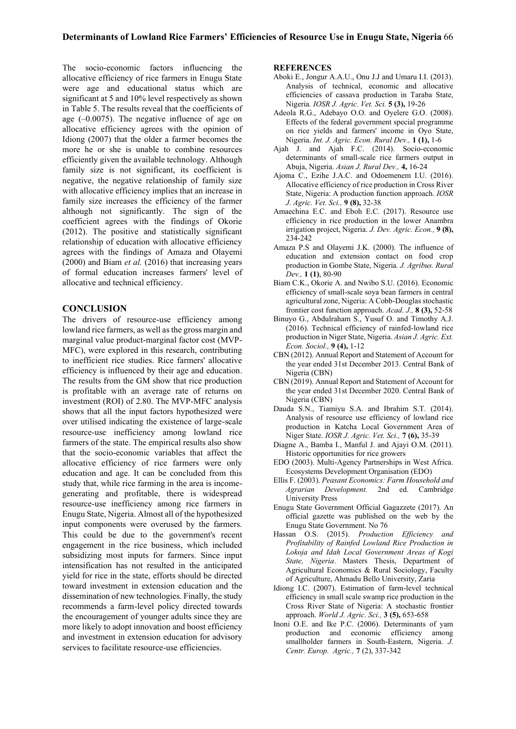The socio-economic factors influencing the allocative efficiency of rice farmers in Enugu State were age and educational status which are significant at 5 and 10% level respectively as shown in Table 5. The results reveal that the coefficients of age (–0.0075). The negative influence of age on allocative efficiency agrees with the opinion of Idiong (2007) that the older a farmer becomes the more he or she is unable to combine resources efficiently given the available technology. Although family size is not significant, its coefficient is negative, the negative relationship of family size with allocative efficiency implies that an increase in family size increases the efficiency of the farmer although not significantly. The sign of the coefficient agrees with the findings of Okorie (2012). The positive and statistically significant relationship of education with allocative efficiency agrees with the findings of Amaza and Olayemi (2000) and Biam *et al.* (2016) that increasing years of formal education increases farmers' level of allocative and technical efficiency.

# **CONCLUSION**

The drivers of resource-use efficiency among lowland rice farmers, as well as the gross margin and marginal value product-marginal factor cost (MVP-MFC), were explored in this research, contributing to inefficient rice studies. Rice farmers' allocative efficiency is influenced by their age and education. The results from the GM show that rice production is profitable with an average rate of returns on investment (ROI) of 2.80. The MVP-MFC analysis shows that all the input factors hypothesized were over utilised indicating the existence of large-scale resource-use inefficiency among lowland rice farmers of the state. The empirical results also show that the socio-economic variables that affect the allocative efficiency of rice farmers were only education and age. It can be concluded from this study that, while rice farming in the area is incomegenerating and profitable, there is widespread resource-use inefficiency among rice farmers in Enugu State, Nigeria. Almost all of the hypothesized input components were overused by the farmers. This could be due to the government's recent engagement in the rice business, which included subsidizing most inputs for farmers. Since input intensification has not resulted in the anticipated yield for rice in the state, efforts should be directed toward investment in extension education and the dissemination of new technologies. Finally, the study recommends a farm-level policy directed towards the encouragement of younger adults since they are more likely to adopt innovation and boost efficiency and investment in extension education for advisory services to facilitate resource-use efficiencies.

## **REFERENCES**

- Aboki E., Jongur A.A.U., Onu J.J and Umaru I.I. (2013). Analysis of technical, economic and allocative efficiencies of cassava production in Taraba State, Nigeria*. IOSR J. Agric. Vet. Sci.* **5 (3),** 19-26
- Adeola R.G., Adebayo O.O. and Oyelere G.O. (2008). Effects of the federal government special programme on rice yields and farmers' income in Oyo State, Nigeria. *Int. J. Agric. Econ. Rural Dev.,* **1 (1),** 1-6
- Ajah J. and Ajah F.C. (2014). Socio-economic determinants of small-scale rice farmers output in Abuja, Nigeria. *Asian J. Rural Dev.,* **4,** 16-24
- Ajoma C., Ezihe J.A.C. and Odoemenem I.U. (2016). Allocative efficiency of rice production in Cross River State, Nigeria: A production function approach. *IOSR J. Agric. Vet. Sci.,* **9 (8),** 32-38
- Amaechina E.C. and Eboh E.C. (2017). Resource use efficiency in rice production in the lower Anambra irrigation project, Nigeria. *J. Dev. Agric. Econ.,* **9 (8),** 234-242
- Amaza P.S and Olayemi J.K. (2000). The influence of education and extension contact on food crop production in Gombe State, Nigeria*. J. Agribus. Rural Dev.,* **1 (1)**, 80-90
- Biam C.K., Okorie A. and Nwibo S.U. (2016). Economic efficiency of small-scale soya bean farmers in central agricultural zone, Nigeria: A Cobb-Douglas stochastic frontier cost function approach. *Acad. J.,* **8 (3),** 52-58
- Binuyo G., Abdulraham S., Yusuf O. and Timothy A.J. (2016). Technical efficiency of rainfed-lowland rice production in Niger State, Nigeria. *Asian J. Agric. Ext. Econ. Sociol.,* **9 (4),** 1-12
- CBN (2012). Annual Report and Statement of Account for the year ended 31st December 2013. Central Bank of Nigeria (CBN)
- CBN (2019). Annual Report and Statement of Account for the year ended 31st December 2020. Central Bank of Nigeria (CBN)
- Dauda S.N., Tiamiyu S.A. and Ibrahim S.T. (2014). Analysis of resource use efficiency of lowland rice production in Katcha Local Government Area of Niger State. *IOSR J. Agric. Vet. Sci.,* **7 (6),** 35-39
- Diagne A., Bamba I., Manful J. and Ajayi O.M. (2011). Historic opportunities for rice growers
- EDO (2003). Multi-Agency Partnerships in West Africa. Ecosystems Development Organisation (EDO)
- Ellis F. (2003). *Peasant Economics: Farm Household and Agrarian Development.* 2nd ed. Cambridge University Press
- Enugu State Government Official Gagazzete (2017). An official gazette was published on the web by the Enugu State Government. No 76
- Hassan O.S. (2015). *Production Efficiency and Profitability of Rainfed Lowland Rice Production in Lokoja and Idah Local Government Areas of Kogi State, Nigeria*. Masters Thesis, Department of Agricultural Economics & Rural Sociology, Faculty of Agriculture, Ahmadu Bello University, Zaria
- Idiong I.C. (2007). Estimation of farm-level technical efficiency in small scale swamp rice production in the Cross River State of Nigeria: A stochastic frontier approach. *World J. Agric. Sci.,* **3 (5),** 653-658
- Inoni O.E. and Ike P.C. (2006). Determinants of yam production and economic efficiency among smallholder farmers in South-Eastern, Nigeria. *J. Centr. Europ. Agric.,* **7** (2), 337-342